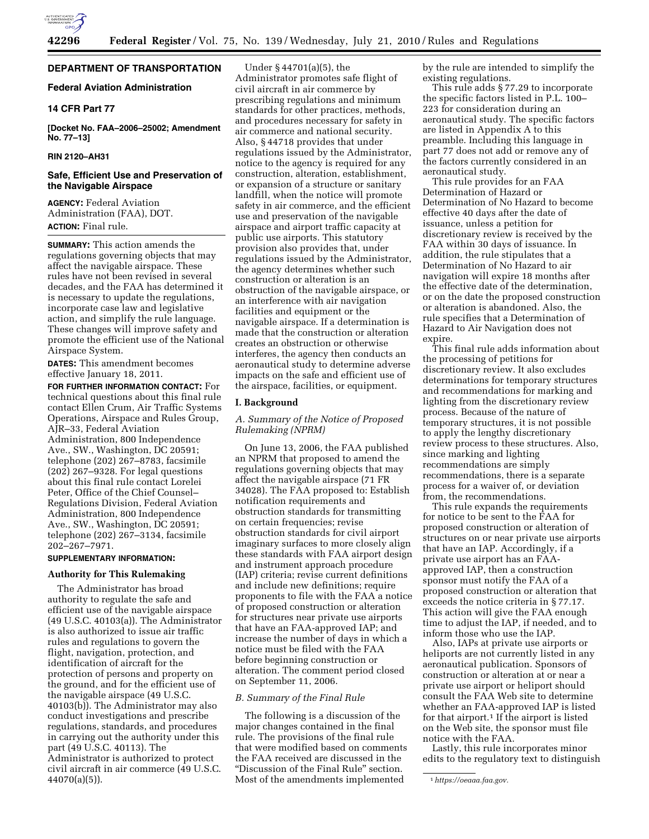

## **DEPARTMENT OF TRANSPORTATION**

## **Federal Aviation Administration**

## **14 CFR Part 77**

**[Docket No. FAA–2006–25002; Amendment No. 77–13]** 

## **RIN 2120–AH31**

## **Safe, Efficient Use and Preservation of the Navigable Airspace**

**AGENCY:** Federal Aviation Administration (FAA), DOT. **ACTION:** Final rule.

**SUMMARY:** This action amends the regulations governing objects that may affect the navigable airspace. These rules have not been revised in several decades, and the FAA has determined it is necessary to update the regulations, incorporate case law and legislative action, and simplify the rule language. These changes will improve safety and promote the efficient use of the National Airspace System.

**DATES:** This amendment becomes effective January 18, 2011.

**FOR FURTHER INFORMATION CONTACT:** For technical questions about this final rule contact Ellen Crum, Air Traffic Systems Operations, Airspace and Rules Group, AJR–33, Federal Aviation Administration, 800 Independence Ave., SW., Washington, DC 20591; telephone (202) 267–8783, facsimile (202) 267–9328. For legal questions about this final rule contact Lorelei Peter, Office of the Chief Counsel– Regulations Division, Federal Aviation Administration, 800 Independence Ave., SW., Washington, DC 20591; telephone (202) 267–3134, facsimile 202–267–7971.

## **SUPPLEMENTARY INFORMATION:**

## **Authority for This Rulemaking**

The Administrator has broad authority to regulate the safe and efficient use of the navigable airspace (49 U.S.C. 40103(a)). The Administrator is also authorized to issue air traffic rules and regulations to govern the flight, navigation, protection, and identification of aircraft for the protection of persons and property on the ground, and for the efficient use of the navigable airspace (49 U.S.C. 40103(b)). The Administrator may also conduct investigations and prescribe regulations, standards, and procedures in carrying out the authority under this part (49 U.S.C. 40113). The Administrator is authorized to protect civil aircraft in air commerce (49 U.S.C. 44070(a)(5)).

Under § 44701(a)(5), the Administrator promotes safe flight of civil aircraft in air commerce by prescribing regulations and minimum standards for other practices, methods, and procedures necessary for safety in air commerce and national security. Also, § 44718 provides that under regulations issued by the Administrator, notice to the agency is required for any construction, alteration, establishment, or expansion of a structure or sanitary landfill, when the notice will promote safety in air commerce, and the efficient use and preservation of the navigable airspace and airport traffic capacity at public use airports. This statutory provision also provides that, under regulations issued by the Administrator, the agency determines whether such construction or alteration is an obstruction of the navigable airspace, or an interference with air navigation facilities and equipment or the navigable airspace. If a determination is made that the construction or alteration creates an obstruction or otherwise interferes, the agency then conducts an aeronautical study to determine adverse impacts on the safe and efficient use of the airspace, facilities, or equipment.

### **I. Background**

## *A. Summary of the Notice of Proposed Rulemaking (NPRM)*

On June 13, 2006, the FAA published an NPRM that proposed to amend the regulations governing objects that may affect the navigable airspace (71 FR 34028). The FAA proposed to: Establish notification requirements and obstruction standards for transmitting on certain frequencies; revise obstruction standards for civil airport imaginary surfaces to more closely align these standards with FAA airport design and instrument approach procedure (IAP) criteria; revise current definitions and include new definitions; require proponents to file with the FAA a notice of proposed construction or alteration for structures near private use airports that have an FAA-approved IAP; and increase the number of days in which a notice must be filed with the FAA before beginning construction or alteration. The comment period closed on September 11, 2006.

### *B. Summary of the Final Rule*

The following is a discussion of the major changes contained in the final rule. The provisions of the final rule that were modified based on comments the FAA received are discussed in the ''Discussion of the Final Rule'' section. Most of the amendments implemented

by the rule are intended to simplify the existing regulations.

This rule adds § 77.29 to incorporate the specific factors listed in P.L. 100– 223 for consideration during an aeronautical study. The specific factors are listed in Appendix A to this preamble. Including this language in part 77 does not add or remove any of the factors currently considered in an aeronautical study.

This rule provides for an FAA Determination of Hazard or Determination of No Hazard to become effective 40 days after the date of issuance, unless a petition for discretionary review is received by the FAA within 30 days of issuance. In addition, the rule stipulates that a Determination of No Hazard to air navigation will expire 18 months after the effective date of the determination, or on the date the proposed construction or alteration is abandoned. Also, the rule specifies that a Determination of Hazard to Air Navigation does not expire.

This final rule adds information about the processing of petitions for discretionary review. It also excludes determinations for temporary structures and recommendations for marking and lighting from the discretionary review process. Because of the nature of temporary structures, it is not possible to apply the lengthy discretionary review process to these structures. Also, since marking and lighting recommendations are simply recommendations, there is a separate process for a waiver of, or deviation from, the recommendations.

This rule expands the requirements for notice to be sent to the FAA for proposed construction or alteration of structures on or near private use airports that have an IAP. Accordingly, if a private use airport has an FAAapproved IAP, then a construction sponsor must notify the FAA of a proposed construction or alteration that exceeds the notice criteria in § 77.17. This action will give the FAA enough time to adjust the IAP, if needed, and to inform those who use the IAP.

Also, IAPs at private use airports or heliports are not currently listed in any aeronautical publication. Sponsors of construction or alteration at or near a private use airport or heliport should consult the FAA Web site to determine whether an FAA-approved IAP is listed for that airport.<sup>1</sup> If the airport is listed on the Web site, the sponsor must file notice with the FAA.

Lastly, this rule incorporates minor edits to the regulatory text to distinguish

<sup>1</sup>*[https://oeaaa.faa.gov.](https://oeaaa.faa.gov)*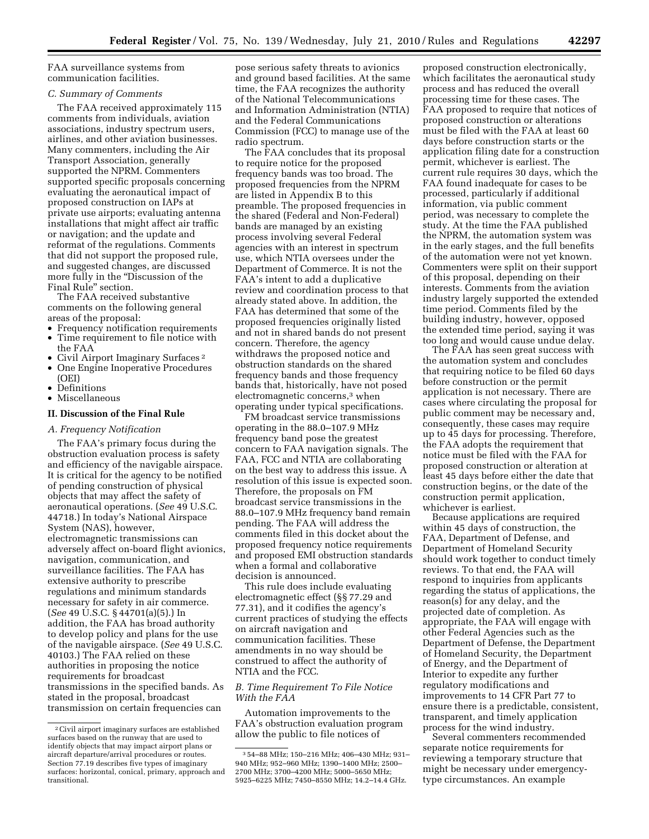FAA surveillance systems from communication facilities.

## *C. Summary of Comments*

The FAA received approximately 115 comments from individuals, aviation associations, industry spectrum users, airlines, and other aviation businesses. Many commenters, including the Air Transport Association, generally supported the NPRM. Commenters supported specific proposals concerning evaluating the aeronautical impact of proposed construction on IAPs at private use airports; evaluating antenna installations that might affect air traffic or navigation; and the update and reformat of the regulations. Comments that did not support the proposed rule, and suggested changes, are discussed more fully in the ''Discussion of the Final Rule'' section.

The FAA received substantive comments on the following general areas of the proposal:

- Frequency notification requirements
- Time requirement to file notice with the FAA
- Civil Airport Imaginary Surfaces 2
- One Engine Inoperative Procedures (OEI)
- Definitions
- Miscellaneous

## **II. Discussion of the Final Rule**

### *A. Frequency Notification*

The FAA's primary focus during the obstruction evaluation process is safety and efficiency of the navigable airspace. It is critical for the agency to be notified of pending construction of physical objects that may affect the safety of aeronautical operations. (*See* 49 U.S.C. 44718.) In today's National Airspace System (NAS), however, electromagnetic transmissions can adversely affect on-board flight avionics, navigation, communication, and surveillance facilities. The FAA has extensive authority to prescribe regulations and minimum standards necessary for safety in air commerce. (*See* 49 U.S.C. § 44701(a)(5).) In addition, the FAA has broad authority to develop policy and plans for the use of the navigable airspace. (*See* 49 U.S.C. 40103.) The FAA relied on these authorities in proposing the notice requirements for broadcast transmissions in the specified bands. As stated in the proposal, broadcast transmission on certain frequencies can

pose serious safety threats to avionics and ground based facilities. At the same time, the FAA recognizes the authority of the National Telecommunications and Information Administration (NTIA) and the Federal Communications Commission (FCC) to manage use of the radio spectrum.

The FAA concludes that its proposal to require notice for the proposed frequency bands was too broad. The proposed frequencies from the NPRM are listed in Appendix B to this preamble. The proposed frequencies in the shared (Federal and Non-Federal) bands are managed by an existing process involving several Federal agencies with an interest in spectrum use, which NTIA oversees under the Department of Commerce. It is not the FAA's intent to add a duplicative review and coordination process to that already stated above. In addition, the FAA has determined that some of the proposed frequencies originally listed and not in shared bands do not present concern. Therefore, the agency withdraws the proposed notice and obstruction standards on the shared frequency bands and those frequency bands that, historically, have not posed electromagnetic concerns,3 when operating under typical specifications.

FM broadcast service transmissions operating in the 88.0–107.9 MHz frequency band pose the greatest concern to FAA navigation signals. The FAA, FCC and NTIA are collaborating on the best way to address this issue. A resolution of this issue is expected soon. Therefore, the proposals on FM broadcast service transmissions in the 88.0–107.9 MHz frequency band remain pending. The FAA will address the comments filed in this docket about the proposed frequency notice requirements and proposed EMI obstruction standards when a formal and collaborative decision is announced.

This rule does include evaluating electromagnetic effect (§§ 77.29 and 77.31), and it codifies the agency's current practices of studying the effects on aircraft navigation and communication facilities. These amendments in no way should be construed to affect the authority of NTIA and the FCC.

## *B. Time Requirement To File Notice With the FAA*

Automation improvements to the FAA's obstruction evaluation program allow the public to file notices of

proposed construction electronically, which facilitates the aeronautical study process and has reduced the overall processing time for these cases. The FAA proposed to require that notices of proposed construction or alterations must be filed with the FAA at least 60 days before construction starts or the application filing date for a construction permit, whichever is earliest. The current rule requires 30 days, which the FAA found inadequate for cases to be processed, particularly if additional information, via public comment period, was necessary to complete the study. At the time the FAA published the NPRM, the automation system was in the early stages, and the full benefits of the automation were not yet known. Commenters were split on their support of this proposal, depending on their interests. Comments from the aviation industry largely supported the extended time period. Comments filed by the building industry, however, opposed the extended time period, saying it was too long and would cause undue delay.

The FAA has seen great success with the automation system and concludes that requiring notice to be filed 60 days before construction or the permit application is not necessary. There are cases where circulating the proposal for public comment may be necessary and, consequently, these cases may require up to 45 days for processing. Therefore, the FAA adopts the requirement that notice must be filed with the FAA for proposed construction or alteration at least 45 days before either the date that construction begins, or the date of the construction permit application, whichever is earliest.

Because applications are required within 45 days of construction, the FAA, Department of Defense, and Department of Homeland Security should work together to conduct timely reviews. To that end, the FAA will respond to inquiries from applicants regarding the status of applications, the reason(s) for any delay, and the projected date of completion. As appropriate, the FAA will engage with other Federal Agencies such as the Department of Defense, the Department of Homeland Security, the Department of Energy, and the Department of Interior to expedite any further regulatory modifications and improvements to 14 CFR Part 77 to ensure there is a predictable, consistent, transparent, and timely application process for the wind industry.

Several commenters recommended separate notice requirements for reviewing a temporary structure that might be necessary under emergencytype circumstances. An example

<sup>2</sup>Civil airport imaginary surfaces are established surfaces based on the runway that are used to identify objects that may impact airport plans or aircraft departure/arrival procedures or routes. Section 77.19 describes five types of imaginary surfaces: horizontal, conical, primary, approach and transitional.

<sup>3</sup> 54–88 MHz; 150–216 MHz; 406–430 MHz; 931– 940 MHz; 952–960 MHz; 1390–1400 MHz; 2500– 2700 MHz; 3700–4200 MHz; 5000–5650 MHz; 5925–6225 MHz; 7450–8550 MHz; 14.2–14.4 GHz.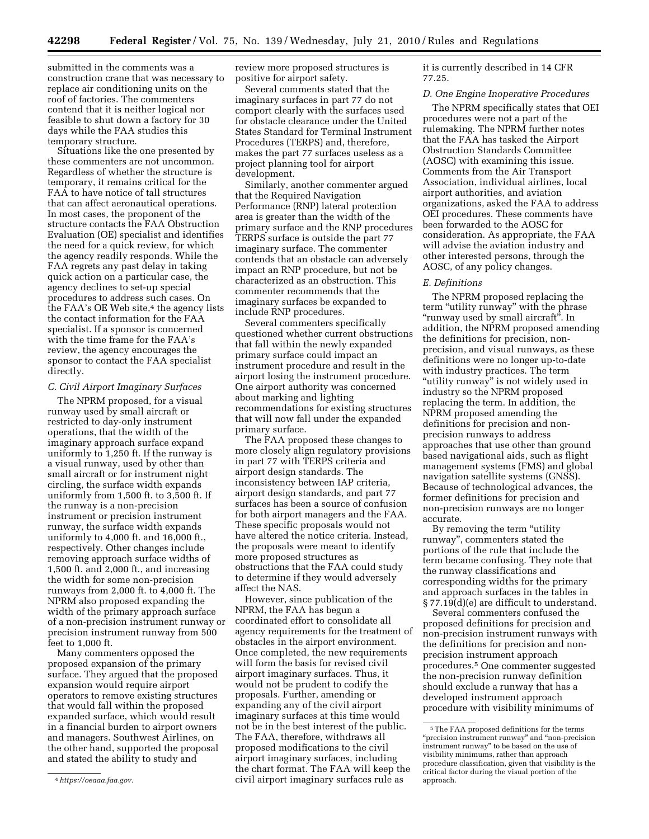submitted in the comments was a construction crane that was necessary to replace air conditioning units on the roof of factories. The commenters contend that it is neither logical nor feasible to shut down a factory for 30 days while the FAA studies this temporary structure.

Situations like the one presented by these commenters are not uncommon. Regardless of whether the structure is temporary, it remains critical for the FAA to have notice of tall structures that can affect aeronautical operations. In most cases, the proponent of the structure contacts the FAA Obstruction Evaluation (OE) specialist and identifies the need for a quick review, for which the agency readily responds. While the FAA regrets any past delay in taking quick action on a particular case, the agency declines to set-up special procedures to address such cases. On the FAA's OE Web site,<sup>4</sup> the agency lists the contact information for the FAA specialist. If a sponsor is concerned with the time frame for the FAA's review, the agency encourages the sponsor to contact the FAA specialist directly.

## *C. Civil Airport Imaginary Surfaces*

The NPRM proposed, for a visual runway used by small aircraft or restricted to day-only instrument operations, that the width of the imaginary approach surface expand uniformly to 1,250 ft. If the runway is a visual runway, used by other than small aircraft or for instrument night circling, the surface width expands uniformly from 1,500 ft. to 3,500 ft. If the runway is a non-precision instrument or precision instrument runway, the surface width expands uniformly to 4,000 ft. and 16,000 ft., respectively. Other changes include removing approach surface widths of 1,500 ft. and 2,000 ft., and increasing the width for some non-precision runways from 2,000 ft. to 4,000 ft. The NPRM also proposed expanding the width of the primary approach surface of a non-precision instrument runway or precision instrument runway from 500 feet to 1,000 ft.

Many commenters opposed the proposed expansion of the primary surface. They argued that the proposed expansion would require airport operators to remove existing structures that would fall within the proposed expanded surface, which would result in a financial burden to airport owners and managers. Southwest Airlines, on the other hand, supported the proposal and stated the ability to study and

review more proposed structures is positive for airport safety.

Several comments stated that the imaginary surfaces in part 77 do not comport clearly with the surfaces used for obstacle clearance under the United States Standard for Terminal Instrument Procedures (TERPS) and, therefore, makes the part 77 surfaces useless as a project planning tool for airport development.

Similarly, another commenter argued that the Required Navigation Performance (RNP) lateral protection area is greater than the width of the primary surface and the RNP procedures TERPS surface is outside the part 77 imaginary surface. The commenter contends that an obstacle can adversely impact an RNP procedure, but not be characterized as an obstruction. This commenter recommends that the imaginary surfaces be expanded to include RNP procedures.

Several commenters specifically questioned whether current obstructions that fall within the newly expanded primary surface could impact an instrument procedure and result in the airport losing the instrument procedure. One airport authority was concerned about marking and lighting recommendations for existing structures that will now fall under the expanded primary surface.

The FAA proposed these changes to more closely align regulatory provisions in part 77 with TERPS criteria and airport design standards. The inconsistency between IAP criteria, airport design standards, and part 77 surfaces has been a source of confusion for both airport managers and the FAA. These specific proposals would not have altered the notice criteria. Instead, the proposals were meant to identify more proposed structures as obstructions that the FAA could study to determine if they would adversely affect the NAS.

However, since publication of the NPRM, the FAA has begun a coordinated effort to consolidate all agency requirements for the treatment of obstacles in the airport environment. Once completed, the new requirements will form the basis for revised civil airport imaginary surfaces. Thus, it would not be prudent to codify the proposals. Further, amending or expanding any of the civil airport imaginary surfaces at this time would not be in the best interest of the public. The FAA, therefore, withdraws all proposed modifications to the civil airport imaginary surfaces, including the chart format. The FAA will keep the civil airport imaginary surfaces rule as

it is currently described in 14 CFR 77.25.

#### *D. One Engine Inoperative Procedures*

The NPRM specifically states that OEI procedures were not a part of the rulemaking. The NPRM further notes that the FAA has tasked the Airport Obstruction Standards Committee (AOSC) with examining this issue. Comments from the Air Transport Association, individual airlines, local airport authorities, and aviation organizations, asked the FAA to address OEI procedures. These comments have been forwarded to the AOSC for consideration. As appropriate, the FAA will advise the aviation industry and other interested persons, through the AOSC, of any policy changes.

## *E. Definitions*

The NPRM proposed replacing the term "utility runway" with the phrase "runway used by small aircraft". In addition, the NPRM proposed amending the definitions for precision, nonprecision, and visual runways, as these definitions were no longer up-to-date with industry practices. The term "utility runway" is not widely used in industry so the NPRM proposed replacing the term. In addition, the NPRM proposed amending the definitions for precision and nonprecision runways to address approaches that use other than ground based navigational aids, such as flight management systems (FMS) and global navigation satellite systems (GNSS). Because of technological advances, the former definitions for precision and non-precision runways are no longer accurate.

By removing the term "utility" runway'', commenters stated the portions of the rule that include the term became confusing. They note that the runway classifications and corresponding widths for the primary and approach surfaces in the tables in § 77.19(d)(e) are difficult to understand.

Several commenters confused the proposed definitions for precision and non-precision instrument runways with the definitions for precision and nonprecision instrument approach procedures.5 One commenter suggested the non-precision runway definition should exclude a runway that has a developed instrument approach procedure with visibility minimums of

<sup>4</sup>*[https://oeaaa.faa.gov.](https://oeaaa.faa.gov)* 

<sup>5</sup>The FAA proposed definitions for the terms ''precision instrument runway'' and ''non-precision instrument runway'' to be based on the use of visibility minimums, rather than approach procedure classification, given that visibility is the critical factor during the visual portion of the approach.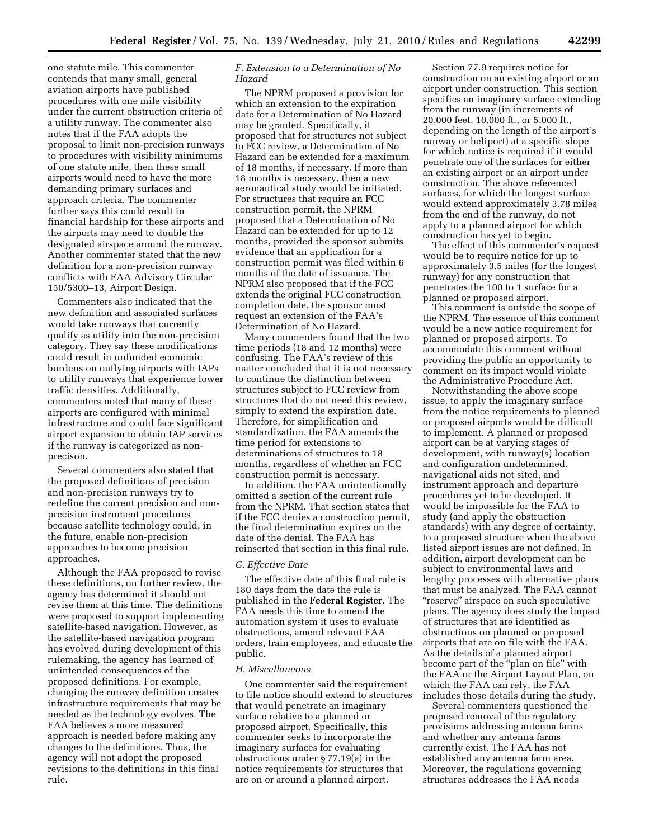one statute mile. This commenter contends that many small, general aviation airports have published procedures with one mile visibility under the current obstruction criteria of a utility runway. The commenter also notes that if the FAA adopts the proposal to limit non-precision runways to procedures with visibility minimums of one statute mile, then these small airports would need to have the more demanding primary surfaces and approach criteria. The commenter further says this could result in financial hardship for these airports and the airports may need to double the designated airspace around the runway. Another commenter stated that the new definition for a non-precision runway conflicts with FAA Advisory Circular 150/5300–13, Airport Design.

Commenters also indicated that the new definition and associated surfaces would take runways that currently qualify as utility into the non-precision category. They say these modifications could result in unfunded economic burdens on outlying airports with IAPs to utility runways that experience lower traffic densities. Additionally, commenters noted that many of these airports are configured with minimal infrastructure and could face significant airport expansion to obtain IAP services if the runway is categorized as nonprecison.

Several commenters also stated that the proposed definitions of precision and non-precision runways try to redefine the current precision and nonprecision instrument procedures because satellite technology could, in the future, enable non-precision approaches to become precision approaches.

Although the FAA proposed to revise these definitions, on further review, the agency has determined it should not revise them at this time. The definitions were proposed to support implementing satellite-based navigation. However, as the satellite-based navigation program has evolved during development of this rulemaking, the agency has learned of unintended consequences of the proposed definitions. For example, changing the runway definition creates infrastructure requirements that may be needed as the technology evolves. The FAA believes a more measured approach is needed before making any changes to the definitions. Thus, the agency will not adopt the proposed revisions to the definitions in this final rule.

## *F. Extension to a Determination of No Hazard*

The NPRM proposed a provision for which an extension to the expiration date for a Determination of No Hazard may be granted. Specifically, it proposed that for structures not subject to FCC review, a Determination of No Hazard can be extended for a maximum of 18 months, if necessary. If more than 18 months is necessary, then a new aeronautical study would be initiated. For structures that require an FCC construction permit, the NPRM proposed that a Determination of No Hazard can be extended for up to 12 months, provided the sponsor submits evidence that an application for a construction permit was filed within 6 months of the date of issuance. The NPRM also proposed that if the FCC extends the original FCC construction completion date, the sponsor must request an extension of the FAA's Determination of No Hazard.

Many commenters found that the two time periods (18 and 12 months) were confusing. The FAA's review of this matter concluded that it is not necessary to continue the distinction between structures subject to FCC review from structures that do not need this review, simply to extend the expiration date. Therefore, for simplification and standardization, the FAA amends the time period for extensions to determinations of structures to 18 months, regardless of whether an FCC construction permit is necessary.

In addition, the FAA unintentionally omitted a section of the current rule from the NPRM. That section states that if the FCC denies a construction permit, the final determination expires on the date of the denial. The FAA has reinserted that section in this final rule.

### *G. Effective Date*

The effective date of this final rule is 180 days from the date the rule is published in the **Federal Register**. The FAA needs this time to amend the automation system it uses to evaluate obstructions, amend relevant FAA orders, train employees, and educate the public.

### *H. Miscellaneous*

One commenter said the requirement to file notice should extend to structures that would penetrate an imaginary surface relative to a planned or proposed airport. Specifically, this commenter seeks to incorporate the imaginary surfaces for evaluating obstructions under § 77.19(a) in the notice requirements for structures that are on or around a planned airport.

Section 77.9 requires notice for construction on an existing airport or an airport under construction. This section specifies an imaginary surface extending from the runway (in increments of 20,000 feet, 10,000 ft., or 5,000 ft., depending on the length of the airport's runway or heliport) at a specific slope for which notice is required if it would penetrate one of the surfaces for either an existing airport or an airport under construction. The above referenced surfaces, for which the longest surface would extend approximately 3.78 miles from the end of the runway, do not apply to a planned airport for which construction has yet to begin.

The effect of this commenter's request would be to require notice for up to approximately 3.5 miles (for the longest runway) for any construction that penetrates the 100 to 1 surface for a planned or proposed airport.

This comment is outside the scope of the NPRM. The essence of this comment would be a new notice requirement for planned or proposed airports. To accommodate this comment without providing the public an opportunity to comment on its impact would violate the Administrative Procedure Act.

Notwithstanding the above scope issue, to apply the imaginary surface from the notice requirements to planned or proposed airports would be difficult to implement. A planned or proposed airport can be at varying stages of development, with runway(s) location and configuration undetermined, navigational aids not sited, and instrument approach and departure procedures yet to be developed. It would be impossible for the FAA to study (and apply the obstruction standards) with any degree of certainty, to a proposed structure when the above listed airport issues are not defined. In addition, airport development can be subject to environmental laws and lengthy processes with alternative plans that must be analyzed. The FAA cannot "reserve" airspace on such speculative plans. The agency does study the impact of structures that are identified as obstructions on planned or proposed airports that are on file with the FAA. As the details of a planned airport become part of the "plan on file" with the FAA or the Airport Layout Plan, on which the FAA can rely, the FAA includes those details during the study.

Several commenters questioned the proposed removal of the regulatory provisions addressing antenna farms and whether any antenna farms currently exist. The FAA has not established any antenna farm area. Moreover, the regulations governing structures addresses the FAA needs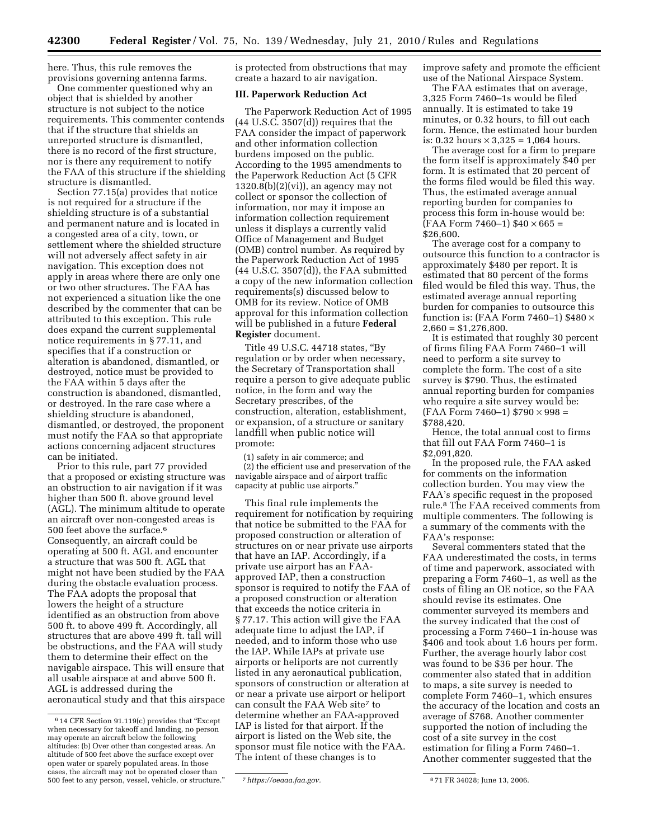here. Thus, this rule removes the provisions governing antenna farms.

One commenter questioned why an object that is shielded by another structure is not subject to the notice requirements. This commenter contends that if the structure that shields an unreported structure is dismantled, there is no record of the first structure, nor is there any requirement to notify the FAA of this structure if the shielding structure is dismantled.

Section 77.15(a) provides that notice is not required for a structure if the shielding structure is of a substantial and permanent nature and is located in a congested area of a city, town, or settlement where the shielded structure will not adversely affect safety in air navigation. This exception does not apply in areas where there are only one or two other structures. The FAA has not experienced a situation like the one described by the commenter that can be attributed to this exception. This rule does expand the current supplemental notice requirements in § 77.11, and specifies that if a construction or alteration is abandoned, dismantled, or destroyed, notice must be provided to the FAA within 5 days after the construction is abandoned, dismantled, or destroyed. In the rare case where a shielding structure is abandoned, dismantled, or destroyed, the proponent must notify the FAA so that appropriate actions concerning adjacent structures can be initiated.

Prior to this rule, part 77 provided that a proposed or existing structure was an obstruction to air navigation if it was higher than 500 ft. above ground level (AGL). The minimum altitude to operate an aircraft over non-congested areas is 500 feet above the surface.<sup>6</sup> Consequently, an aircraft could be operating at 500 ft. AGL and encounter a structure that was 500 ft. AGL that might not have been studied by the FAA during the obstacle evaluation process. The FAA adopts the proposal that lowers the height of a structure identified as an obstruction from above 500 ft. to above 499 ft. Accordingly, all structures that are above 499 ft. tall will be obstructions, and the FAA will study them to determine their effect on the navigable airspace. This will ensure that all usable airspace at and above 500 ft. AGL is addressed during the aeronautical study and that this airspace is protected from obstructions that may create a hazard to air navigation.

## **III. Paperwork Reduction Act**

The Paperwork Reduction Act of 1995  $(44 \text{ U.S.C. } 3507\text{ (d)})$  requires that the FAA consider the impact of paperwork and other information collection burdens imposed on the public. According to the 1995 amendments to the Paperwork Reduction Act (5 CFR  $1320.8(b)(2)(vi)$ , an agency may not collect or sponsor the collection of information, nor may it impose an information collection requirement unless it displays a currently valid Office of Management and Budget (OMB) control number. As required by the Paperwork Reduction Act of 1995 (44 U.S.C. 3507(d)), the FAA submitted a copy of the new information collection requirements(s) discussed below to OMB for its review. Notice of OMB approval for this information collection will be published in a future **Federal Register** document.

Title 49 U.S.C. 44718 states, ''By regulation or by order when necessary, the Secretary of Transportation shall require a person to give adequate public notice, in the form and way the Secretary prescribes, of the construction, alteration, establishment, or expansion, of a structure or sanitary landfill when public notice will promote:

(1) safety in air commerce; and (2) the efficient use and preservation of the navigable airspace and of airport traffic capacity at public use airports.''

This final rule implements the requirement for notification by requiring that notice be submitted to the FAA for proposed construction or alteration of structures on or near private use airports that have an IAP. Accordingly, if a private use airport has an FAAapproved IAP, then a construction sponsor is required to notify the FAA of a proposed construction or alteration that exceeds the notice criteria in § 77.17. This action will give the FAA adequate time to adjust the IAP, if needed, and to inform those who use the IAP. While IAPs at private use airports or heliports are not currently listed in any aeronautical publication, sponsors of construction or alteration at or near a private use airport or heliport can consult the FAA Web site7 to determine whether an FAA-approved IAP is listed for that airport. If the airport is listed on the Web site, the sponsor must file notice with the FAA. The intent of these changes is to

improve safety and promote the efficient use of the National Airspace System.

The FAA estimates that on average, 3,325 Form 7460–1s would be filed annually. It is estimated to take 19 minutes, or 0.32 hours, to fill out each form. Hence, the estimated hour burden is: 0.32 hours  $\times$  3,325 = 1,064 hours.

The average cost for a firm to prepare the form itself is approximately \$40 per form. It is estimated that 20 percent of the forms filed would be filed this way. Thus, the estimated average annual reporting burden for companies to process this form in-house would be:  $(FAA$  Form 7460–1) \$40  $\times$  665 = \$26,600.

The average cost for a company to outsource this function to a contractor is approximately \$480 per report. It is estimated that 80 percent of the forms filed would be filed this way. Thus, the estimated average annual reporting burden for companies to outsource this function is: (FAA Form 7460–1)  $$480 \times$  $2,660 = $1,276,800.$ 

It is estimated that roughly 30 percent of firms filing FAA Form 7460–1 will need to perform a site survey to complete the form. The cost of a site survey is \$790. Thus, the estimated annual reporting burden for companies who require a site survey would be:  $(FAA$  Form 7460-1) \$790  $\times$  998 = \$788,420.

Hence, the total annual cost to firms that fill out FAA Form 7460–1 is \$2,091,820.

In the proposed rule, the FAA asked for comments on the information collection burden. You may view the FAA's specific request in the proposed rule.8 The FAA received comments from multiple commenters. The following is a summary of the comments with the FAA's response:

Several commenters stated that the FAA underestimated the costs, in terms of time and paperwork, associated with preparing a Form 7460–1, as well as the costs of filing an OE notice, so the FAA should revise its estimates. One commenter surveyed its members and the survey indicated that the cost of processing a Form 7460–1 in-house was \$406 and took about 1.6 hours per form. Further, the average hourly labor cost was found to be \$36 per hour. The commenter also stated that in addition to maps, a site survey is needed to complete Form 7460–1, which ensures the accuracy of the location and costs an average of \$768. Another commenter supported the notion of including the cost of a site survey in the cost estimation for filing a Form 7460–1. Another commenter suggested that the

<sup>6</sup> 14 CFR Section 91.119(c) provides that ''Except when necessary for takeoff and landing, no person may operate an aircraft below the following altitudes: (b) Over other than congested areas. An altitude of 500 feet above the surface except over open water or sparely populated areas. In those cases, the aircraft may not be operated closer than 500 feet to any person, vessel, vehicle, or structure.'' 7*[https://oeaaa.faa.gov.](https://oeaaa.faa.gov)* 8 71 FR 34028; June 13, 2006.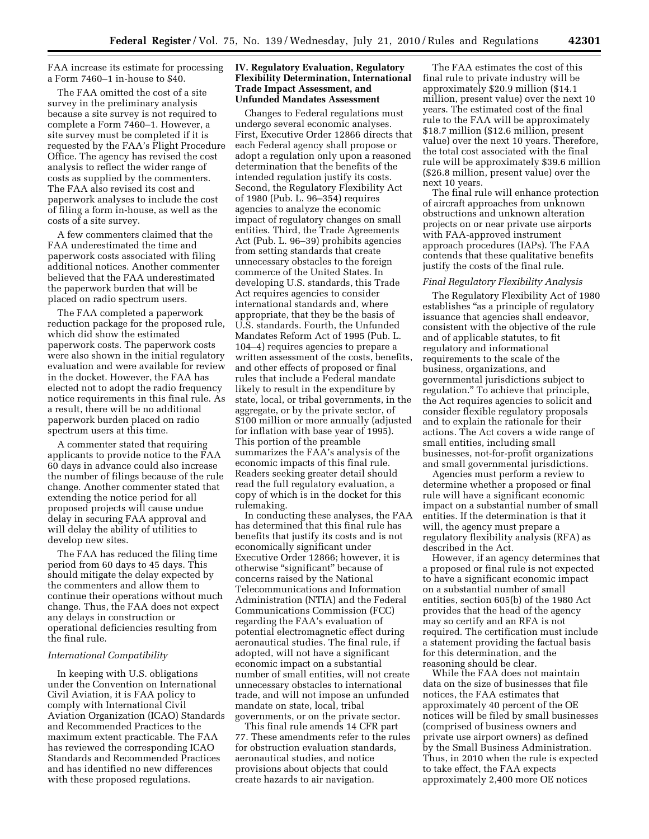FAA increase its estimate for processing a Form 7460–1 in-house to \$40.

The FAA omitted the cost of a site survey in the preliminary analysis because a site survey is not required to complete a Form 7460–1. However, a site survey must be completed if it is requested by the FAA's Flight Procedure Office. The agency has revised the cost analysis to reflect the wider range of costs as supplied by the commenters. The FAA also revised its cost and paperwork analyses to include the cost of filing a form in-house, as well as the costs of a site survey.

A few commenters claimed that the FAA underestimated the time and paperwork costs associated with filing additional notices. Another commenter believed that the FAA underestimated the paperwork burden that will be placed on radio spectrum users.

The FAA completed a paperwork reduction package for the proposed rule, which did show the estimated paperwork costs. The paperwork costs were also shown in the initial regulatory evaluation and were available for review in the docket. However, the FAA has elected not to adopt the radio frequency notice requirements in this final rule. As a result, there will be no additional paperwork burden placed on radio spectrum users at this time.

A commenter stated that requiring applicants to provide notice to the FAA 60 days in advance could also increase the number of filings because of the rule change. Another commenter stated that extending the notice period for all proposed projects will cause undue delay in securing FAA approval and will delay the ability of utilities to develop new sites.

The FAA has reduced the filing time period from 60 days to 45 days. This should mitigate the delay expected by the commenters and allow them to continue their operations without much change. Thus, the FAA does not expect any delays in construction or operational deficiencies resulting from the final rule.

### *International Compatibility*

In keeping with U.S. obligations under the Convention on International Civil Aviation, it is FAA policy to comply with International Civil Aviation Organization (ICAO) Standards and Recommended Practices to the maximum extent practicable. The FAA has reviewed the corresponding ICAO Standards and Recommended Practices and has identified no new differences with these proposed regulations.

## **IV. Regulatory Evaluation, Regulatory Flexibility Determination, International Trade Impact Assessment, and Unfunded Mandates Assessment**

Changes to Federal regulations must undergo several economic analyses. First, Executive Order 12866 directs that each Federal agency shall propose or adopt a regulation only upon a reasoned determination that the benefits of the intended regulation justify its costs. Second, the Regulatory Flexibility Act of 1980 (Pub. L. 96–354) requires agencies to analyze the economic impact of regulatory changes on small entities. Third, the Trade Agreements Act (Pub. L. 96–39) prohibits agencies from setting standards that create unnecessary obstacles to the foreign commerce of the United States. In developing U.S. standards, this Trade Act requires agencies to consider international standards and, where appropriate, that they be the basis of U.S. standards. Fourth, the Unfunded Mandates Reform Act of 1995 (Pub. L. 104–4) requires agencies to prepare a written assessment of the costs, benefits, and other effects of proposed or final rules that include a Federal mandate likely to result in the expenditure by state, local, or tribal governments, in the aggregate, or by the private sector, of \$100 million or more annually (adjusted for inflation with base year of 1995). This portion of the preamble summarizes the FAA's analysis of the economic impacts of this final rule. Readers seeking greater detail should read the full regulatory evaluation, a copy of which is in the docket for this rulemaking.

In conducting these analyses, the FAA has determined that this final rule has benefits that justify its costs and is not economically significant under Executive Order 12866; however, it is otherwise "significant" because of concerns raised by the National Telecommunications and Information Administration (NTIA) and the Federal Communications Commission (FCC) regarding the FAA's evaluation of potential electromagnetic effect during aeronautical studies. The final rule, if adopted, will not have a significant economic impact on a substantial number of small entities, will not create unnecessary obstacles to international trade, and will not impose an unfunded mandate on state, local, tribal governments, or on the private sector.

This final rule amends 14 CFR part 77. These amendments refer to the rules for obstruction evaluation standards, aeronautical studies, and notice provisions about objects that could create hazards to air navigation.

The FAA estimates the cost of this final rule to private industry will be approximately \$20.9 million (\$14.1 million, present value) over the next 10 years. The estimated cost of the final rule to the FAA will be approximately \$18.7 million (\$12.6 million, present value) over the next 10 years. Therefore, the total cost associated with the final rule will be approximately \$39.6 million (\$26.8 million, present value) over the next 10 years.

The final rule will enhance protection of aircraft approaches from unknown obstructions and unknown alteration projects on or near private use airports with FAA-approved instrument approach procedures (IAPs). The FAA contends that these qualitative benefits justify the costs of the final rule.

### *Final Regulatory Flexibility Analysis*

The Regulatory Flexibility Act of 1980 establishes ''as a principle of regulatory issuance that agencies shall endeavor, consistent with the objective of the rule and of applicable statutes, to fit regulatory and informational requirements to the scale of the business, organizations, and governmental jurisdictions subject to regulation.'' To achieve that principle, the Act requires agencies to solicit and consider flexible regulatory proposals and to explain the rationale for their actions. The Act covers a wide range of small entities, including small businesses, not-for-profit organizations and small governmental jurisdictions.

Agencies must perform a review to determine whether a proposed or final rule will have a significant economic impact on a substantial number of small entities. If the determination is that it will, the agency must prepare a regulatory flexibility analysis (RFA) as described in the Act.

However, if an agency determines that a proposed or final rule is not expected to have a significant economic impact on a substantial number of small entities, section 605(b) of the 1980 Act provides that the head of the agency may so certify and an RFA is not required. The certification must include a statement providing the factual basis for this determination, and the reasoning should be clear.

While the FAA does not maintain data on the size of businesses that file notices, the FAA estimates that approximately 40 percent of the OE notices will be filed by small businesses (comprised of business owners and private use airport owners) as defined by the Small Business Administration. Thus, in 2010 when the rule is expected to take effect, the FAA expects approximately 2,400 more OE notices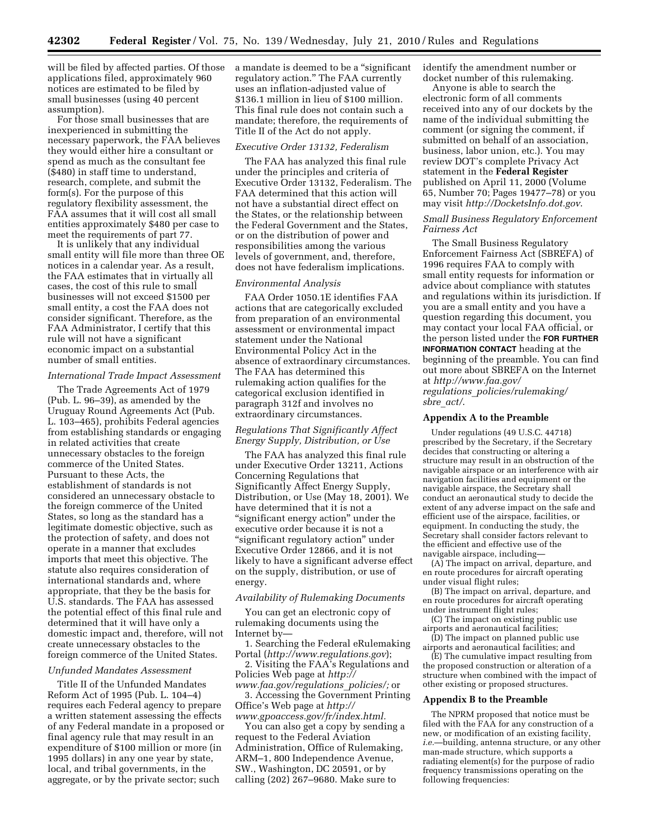will be filed by affected parties. Of those applications filed, approximately 960 notices are estimated to be filed by small businesses (using 40 percent assumption).

For those small businesses that are inexperienced in submitting the necessary paperwork, the FAA believes they would either hire a consultant or spend as much as the consultant fee (\$480) in staff time to understand, research, complete, and submit the form(s). For the purpose of this regulatory flexibility assessment, the FAA assumes that it will cost all small entities approximately \$480 per case to meet the requirements of part 77.

It is unlikely that any individual small entity will file more than three OE notices in a calendar year. As a result, the FAA estimates that in virtually all cases, the cost of this rule to small businesses will not exceed \$1500 per small entity, a cost the FAA does not consider significant. Therefore, as the FAA Administrator, I certify that this rule will not have a significant economic impact on a substantial number of small entities.

## *International Trade Impact Assessment*

The Trade Agreements Act of 1979 (Pub. L. 96–39), as amended by the Uruguay Round Agreements Act (Pub. L. 103–465), prohibits Federal agencies from establishing standards or engaging in related activities that create unnecessary obstacles to the foreign commerce of the United States. Pursuant to these Acts, the establishment of standards is not considered an unnecessary obstacle to the foreign commerce of the United States, so long as the standard has a legitimate domestic objective, such as the protection of safety, and does not operate in a manner that excludes imports that meet this objective. The statute also requires consideration of international standards and, where appropriate, that they be the basis for U.S. standards. The FAA has assessed the potential effect of this final rule and determined that it will have only a domestic impact and, therefore, will not create unnecessary obstacles to the foreign commerce of the United States.

### *Unfunded Mandates Assessment*

Title II of the Unfunded Mandates Reform Act of 1995 (Pub. L. 104–4) requires each Federal agency to prepare a written statement assessing the effects of any Federal mandate in a proposed or final agency rule that may result in an expenditure of \$100 million or more (in 1995 dollars) in any one year by state, local, and tribal governments, in the aggregate, or by the private sector; such

a mandate is deemed to be a ''significant regulatory action.'' The FAA currently uses an inflation-adjusted value of \$136.1 million in lieu of \$100 million. This final rule does not contain such a mandate; therefore, the requirements of Title II of the Act do not apply.

#### *Executive Order 13132, Federalism*

The FAA has analyzed this final rule under the principles and criteria of Executive Order 13132, Federalism. The FAA determined that this action will not have a substantial direct effect on the States, or the relationship between the Federal Government and the States, or on the distribution of power and responsibilities among the various levels of government, and, therefore, does not have federalism implications.

## *Environmental Analysis*

FAA Order 1050.1E identifies FAA actions that are categorically excluded from preparation of an environmental assessment or environmental impact statement under the National Environmental Policy Act in the absence of extraordinary circumstances. The FAA has determined this rulemaking action qualifies for the categorical exclusion identified in paragraph 312f and involves no extraordinary circumstances.

## *Regulations That Significantly Affect Energy Supply, Distribution, or Use*

The FAA has analyzed this final rule under Executive Order 13211, Actions Concerning Regulations that Significantly Affect Energy Supply, Distribution, or Use (May 18, 2001). We have determined that it is not a ''significant energy action'' under the executive order because it is not a "significant regulatory action" under Executive Order 12866, and it is not likely to have a significant adverse effect on the supply, distribution, or use of energy.

## *Availability of Rulemaking Documents*

You can get an electronic copy of rulemaking documents using the Internet by—

1. Searching the Federal eRulemaking Portal (*<http://www.regulations.gov>*);

2. Visiting the FAA's Regulations and Policies Web page at *[http://](http://www.faa.gov/regulations_policies/)* 

*[www.faa.gov/regulations](http://www.faa.gov/regulations_policies/)*\_*policies/;* or 3. Accessing the Government Printing Office's Web page at *[http://](http://www.gpoaccess.gov/fr/index.html)  [www.gpoaccess.gov/fr/index.html.](http://www.gpoaccess.gov/fr/index.html)* 

You can also get a copy by sending a request to the Federal Aviation Administration, Office of Rulemaking, ARM–1, 800 Independence Avenue, SW., Washington, DC 20591, or by calling (202) 267–9680. Make sure to

identify the amendment number or docket number of this rulemaking.

Anyone is able to search the electronic form of all comments received into any of our dockets by the name of the individual submitting the comment (or signing the comment, if submitted on behalf of an association, business, labor union, etc.). You may review DOT's complete Privacy Act statement in the **Federal Register**  published on April 11, 2000 (Volume 65, Number 70; Pages 19477–78) or you may visit *<http://DocketsInfo.dot.gov>*.

## *Small Business Regulatory Enforcement Fairness Act*

The Small Business Regulatory Enforcement Fairness Act (SBREFA) of 1996 requires FAA to comply with small entity requests for information or advice about compliance with statutes and regulations within its jurisdiction. If you are a small entity and you have a question regarding this document, you may contact your local FAA official, or the person listed under the **FOR FURTHER INFORMATION CONTACT** heading at the beginning of the preamble. You can find out more about SBREFA on the Internet at *[http://www.faa.gov/](http://www.faa.gov/regulations_policies/rulemaking/sbre_act/)  regulations*\_*[policies/rulemaking/](http://www.faa.gov/regulations_policies/rulemaking/sbre_act/)  [sbre](http://www.faa.gov/regulations_policies/rulemaking/sbre_act/)*\_*act/*.

### **Appendix A to the Preamble**

Under regulations (49 U.S.C. 44718) prescribed by the Secretary, if the Secretary decides that constructing or altering a structure may result in an obstruction of the navigable airspace or an interference with air navigation facilities and equipment or the navigable airspace, the Secretary shall conduct an aeronautical study to decide the extent of any adverse impact on the safe and efficient use of the airspace, facilities, or equipment. In conducting the study, the Secretary shall consider factors relevant to the efficient and effective use of the navigable airspace, including—

(A) The impact on arrival, departure, and en route procedures for aircraft operating under visual flight rules;

(B) The impact on arrival, departure, and en route procedures for aircraft operating under instrument flight rules;

(C) The impact on existing public use airports and aeronautical facilities;

(D) The impact on planned public use airports and aeronautical facilities; and

(E) The cumulative impact resulting from the proposed construction or alteration of a structure when combined with the impact of other existing or proposed structures.

### **Appendix B to the Preamble**

The NPRM proposed that notice must be filed with the FAA for any construction of a new, or modification of an existing facility, *i.e.*—building, antenna structure, or any other man-made structure, which supports a radiating element(s) for the purpose of radio frequency transmissions operating on the following frequencies: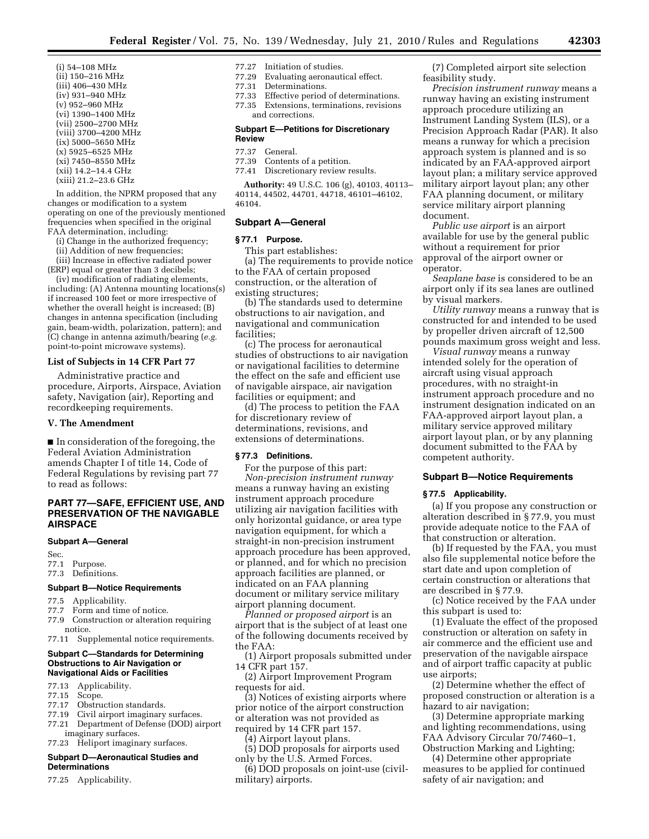- (i) 54–108 MHz (ii) 150–216 MHz (iii) 406–430 MHz (iv) 931–940 MHz (v) 952–960 MHz (vi) 1390–1400 MHz (vii) 2500–2700 MHz (viii) 3700–4200 MHz (ix) 5000–5650 MHz (x) 5925–6525 MHz (xi) 7450–8550 MHz
- (xii) 14.2–14.4 GHz (xiii) 21.2–23.6 GHz

In addition, the NPRM proposed that any changes or modification to a system operating on one of the previously mentioned frequencies when specified in the original FAA determination, including:

- (i) Change in the authorized frequency;
- (ii) Addition of new frequencies;

(iii) Increase in effective radiated power (ERP) equal or greater than 3 decibels;

(iv) modification of radiating elements, including: (A) Antenna mounting locations(s) if increased 100 feet or more irrespective of whether the overall height is increased; (B) changes in antenna specification (including gain, beam-width, polarization, pattern); and (C) change in antenna azimuth/bearing (*e.g.*  point-to-point microwave systems).

## **List of Subjects in 14 CFR Part 77**

Administrative practice and procedure, Airports, Airspace, Aviation safety, Navigation (air), Reporting and recordkeeping requirements.

### **V. The Amendment**

■ In consideration of the foregoing, the Federal Aviation Administration amends Chapter I of title 14, Code of Federal Regulations by revising part 77 to read as follows:

## **PART 77—SAFE, EFFICIENT USE, AND PRESERVATION OF THE NAVIGABLE AIRSPACE**

#### **Subpart A—General**

- Sec.<br>77.1 Purpose.
- 77.3 Definitions.

## **Subpart B—Notice Requirements**

- 77.5 Applicability.
- 77.7 Form and time of notice.
- 77.9 Construction or alteration requiring notice.
- 77.11 Supplemental notice requirements.

### **Subpart C—Standards for Determining Obstructions to Air Navigation or Navigational Aids or Facilities**

- 77.13 Applicability.
- 77.15 Scope.
- 77.17 Obstruction standards.
- 77.19 Civil airport imaginary surfaces.
- 77.21 Department of Defense (DOD) airport imaginary surfaces.
- 77.23 Heliport imaginary surfaces.

## **Subpart D—Aeronautical Studies and Determinations**

77.25 Applicability.

#### 77.27 Initiation of studies.

- 77.29 Evaluating aeronautical effect.
- 77.31 Determinations.
- 77.33 Effective period of determinations.
- 77.35 Extensions, terminations, revisions and corrections.

#### **Subpart E—Petitions for Discretionary Review**

#### 77.37 General.

- 77.39 Contents of a petition.
- 77.41 Discretionary review results.

**Authority:** 49 U.S.C. 106 (g), 40103, 40113– 40114, 44502, 44701, 44718, 46101–46102, 46104.

### **Subpart A—General**

#### **§ 77.1 Purpose.**

This part establishes:

(a) The requirements to provide notice to the FAA of certain proposed construction, or the alteration of existing structures;

(b) The standards used to determine obstructions to air navigation, and navigational and communication facilities;

(c) The process for aeronautical studies of obstructions to air navigation or navigational facilities to determine the effect on the safe and efficient use of navigable airspace, air navigation facilities or equipment; and

(d) The process to petition the FAA for discretionary review of determinations, revisions, and extensions of determinations.

## **§ 77.3 Definitions.**

For the purpose of this part: *Non-precision instrument runway*  means a runway having an existing instrument approach procedure utilizing air navigation facilities with only horizontal guidance, or area type navigation equipment, for which a straight-in non-precision instrument approach procedure has been approved, or planned, and for which no precision approach facilities are planned, or indicated on an FAA planning document or military service military airport planning document.

*Planned or proposed airport* is an airport that is the subject of at least one of the following documents received by the FAA:

(1) Airport proposals submitted under 14 CFR part 157.

(2) Airport Improvement Program requests for aid.

(3) Notices of existing airports where prior notice of the airport construction or alteration was not provided as required by 14 CFR part 157.

(4) Airport layout plans.

(5) DOD proposals for airports used only by the U.S. Armed Forces.

(6) DOD proposals on joint-use (civilmilitary) airports.

(7) Completed airport site selection feasibility study.

*Precision instrument runway* means a runway having an existing instrument approach procedure utilizing an Instrument Landing System (ILS), or a Precision Approach Radar (PAR). It also means a runway for which a precision approach system is planned and is so indicated by an FAA-approved airport layout plan; a military service approved military airport layout plan; any other FAA planning document, or military service military airport planning document.

*Public use airport* is an airport available for use by the general public without a requirement for prior approval of the airport owner or operator.

*Seaplane base* is considered to be an airport only if its sea lanes are outlined by visual markers.

*Utility runway* means a runway that is constructed for and intended to be used by propeller driven aircraft of 12,500 pounds maximum gross weight and less.

*Visual runway* means a runway intended solely for the operation of aircraft using visual approach procedures, with no straight-in instrument approach procedure and no instrument designation indicated on an FAA-approved airport layout plan, a military service approved military airport layout plan, or by any planning document submitted to the FAA by competent authority.

### **Subpart B—Notice Requirements**

#### **§ 77.5 Applicability.**

(a) If you propose any construction or alteration described in § 77.9, you must provide adequate notice to the FAA of that construction or alteration.

(b) If requested by the FAA, you must also file supplemental notice before the start date and upon completion of certain construction or alterations that are described in § 77.9.

(c) Notice received by the FAA under this subpart is used to:

(1) Evaluate the effect of the proposed construction or alteration on safety in air commerce and the efficient use and preservation of the navigable airspace and of airport traffic capacity at public use airports;

(2) Determine whether the effect of proposed construction or alteration is a hazard to air navigation;

(3) Determine appropriate marking and lighting recommendations, using FAA Advisory Circular 70/7460–1, Obstruction Marking and Lighting;

(4) Determine other appropriate measures to be applied for continued safety of air navigation; and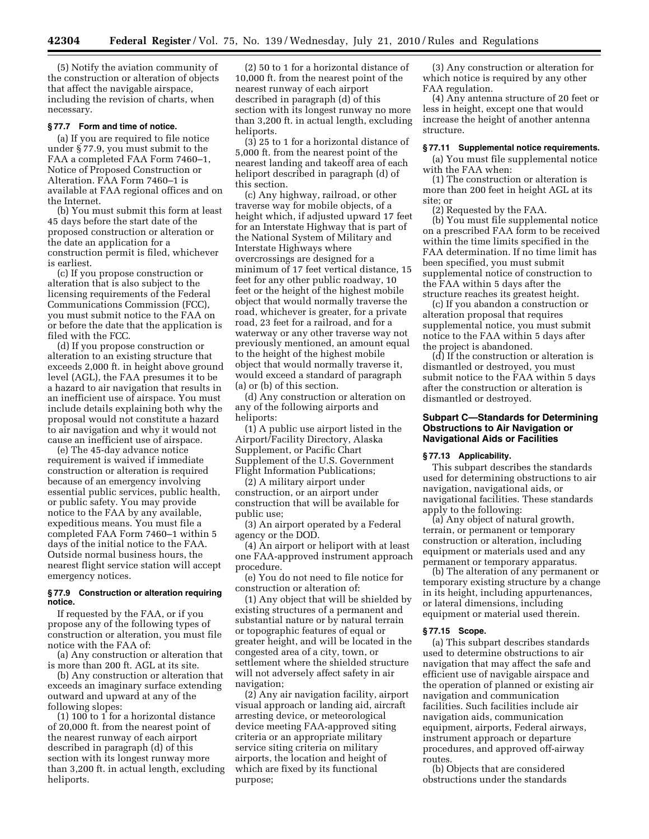(5) Notify the aviation community of the construction or alteration of objects that affect the navigable airspace, including the revision of charts, when necessary.

## **§ 77.7 Form and time of notice.**

(a) If you are required to file notice under § 77.9, you must submit to the FAA a completed FAA Form 7460–1, Notice of Proposed Construction or Alteration. FAA Form 7460–1 is available at FAA regional offices and on the Internet.

(b) You must submit this form at least 45 days before the start date of the proposed construction or alteration or the date an application for a construction permit is filed, whichever is earliest.

(c) If you propose construction or alteration that is also subject to the licensing requirements of the Federal Communications Commission (FCC), you must submit notice to the FAA on or before the date that the application is filed with the FCC.

(d) If you propose construction or alteration to an existing structure that exceeds 2,000 ft. in height above ground level (AGL), the FAA presumes it to be a hazard to air navigation that results in an inefficient use of airspace. You must include details explaining both why the proposal would not constitute a hazard to air navigation and why it would not cause an inefficient use of airspace.

(e) The 45-day advance notice requirement is waived if immediate construction or alteration is required because of an emergency involving essential public services, public health, or public safety. You may provide notice to the FAA by any available, expeditious means. You must file a completed FAA Form 7460–1 within 5 days of the initial notice to the FAA. Outside normal business hours, the nearest flight service station will accept emergency notices.

### **§ 77.9 Construction or alteration requiring notice.**

If requested by the FAA, or if you propose any of the following types of construction or alteration, you must file notice with the FAA of:

(a) Any construction or alteration that is more than 200 ft. AGL at its site.

(b) Any construction or alteration that exceeds an imaginary surface extending outward and upward at any of the following slopes:

(1) 100 to 1 for a horizontal distance of 20,000 ft. from the nearest point of the nearest runway of each airport described in paragraph (d) of this section with its longest runway more than 3,200 ft. in actual length, excluding heliports.

(2) 50 to 1 for a horizontal distance of 10,000 ft. from the nearest point of the nearest runway of each airport described in paragraph (d) of this section with its longest runway no more than 3,200 ft. in actual length, excluding heliports.

(3) 25 to 1 for a horizontal distance of 5,000 ft. from the nearest point of the nearest landing and takeoff area of each heliport described in paragraph (d) of this section.

(c) Any highway, railroad, or other traverse way for mobile objects, of a height which, if adjusted upward 17 feet for an Interstate Highway that is part of the National System of Military and Interstate Highways where overcrossings are designed for a minimum of 17 feet vertical distance, 15 feet for any other public roadway, 10 feet or the height of the highest mobile object that would normally traverse the road, whichever is greater, for a private road, 23 feet for a railroad, and for a waterway or any other traverse way not previously mentioned, an amount equal to the height of the highest mobile object that would normally traverse it, would exceed a standard of paragraph (a) or (b) of this section.

(d) Any construction or alteration on any of the following airports and heliports:

(1) A public use airport listed in the Airport/Facility Directory, Alaska Supplement, or Pacific Chart Supplement of the U.S. Government Flight Information Publications;

(2) A military airport under construction, or an airport under construction that will be available for public use;

(3) An airport operated by a Federal agency or the DOD.

(4) An airport or heliport with at least one FAA-approved instrument approach procedure.

(e) You do not need to file notice for construction or alteration of:

(1) Any object that will be shielded by existing structures of a permanent and substantial nature or by natural terrain or topographic features of equal or greater height, and will be located in the congested area of a city, town, or settlement where the shielded structure will not adversely affect safety in air navigation;

(2) Any air navigation facility, airport visual approach or landing aid, aircraft arresting device, or meteorological device meeting FAA-approved siting criteria or an appropriate military service siting criteria on military airports, the location and height of which are fixed by its functional purpose;

(3) Any construction or alteration for which notice is required by any other FAA regulation.

(4) Any antenna structure of 20 feet or less in height, except one that would increase the height of another antenna structure.

### **§ 77.11 Supplemental notice requirements.**

(a) You must file supplemental notice with the FAA when:

(1) The construction or alteration is more than 200 feet in height AGL at its site; or

(2) Requested by the FAA.

(b) You must file supplemental notice on a prescribed FAA form to be received within the time limits specified in the FAA determination. If no time limit has been specified, you must submit supplemental notice of construction to the FAA within 5 days after the structure reaches its greatest height.

(c) If you abandon a construction or alteration proposal that requires supplemental notice, you must submit notice to the FAA within 5 days after the project is abandoned.

(d) If the construction or alteration is dismantled or destroyed, you must submit notice to the FAA within 5 days after the construction or alteration is dismantled or destroyed.

### **Subpart C—Standards for Determining Obstructions to Air Navigation or Navigational Aids or Facilities**

#### **§ 77.13 Applicability.**

This subpart describes the standards used for determining obstructions to air navigation, navigational aids, or navigational facilities. These standards apply to the following:

(a) Any object of natural growth, terrain, or permanent or temporary construction or alteration, including equipment or materials used and any permanent or temporary apparatus.

(b) The alteration of any permanent or temporary existing structure by a change in its height, including appurtenances, or lateral dimensions, including equipment or material used therein.

#### **§ 77.15 Scope.**

(a) This subpart describes standards used to determine obstructions to air navigation that may affect the safe and efficient use of navigable airspace and the operation of planned or existing air navigation and communication facilities. Such facilities include air navigation aids, communication equipment, airports, Federal airways, instrument approach or departure procedures, and approved off-airway routes.

(b) Objects that are considered obstructions under the standards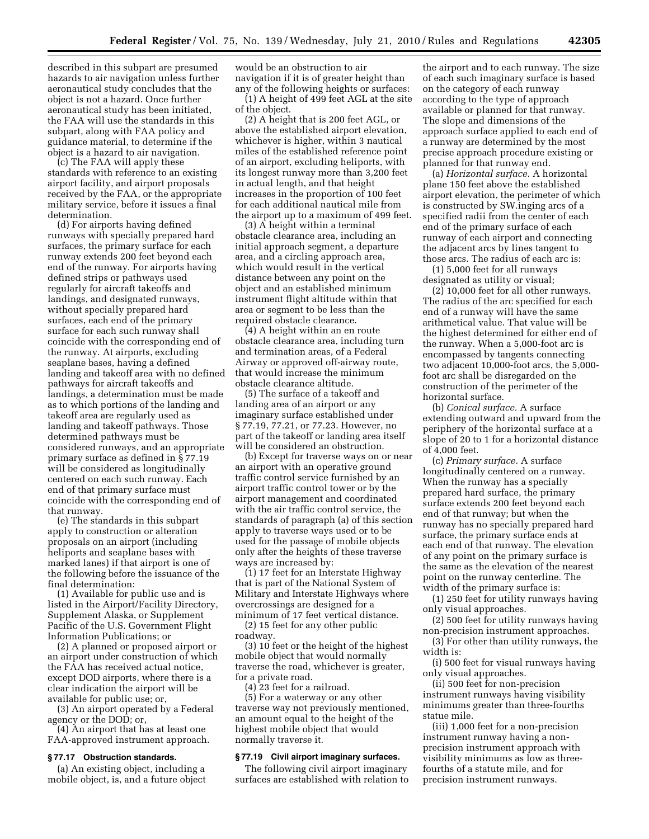described in this subpart are presumed hazards to air navigation unless further aeronautical study concludes that the object is not a hazard. Once further aeronautical study has been initiated, the FAA will use the standards in this subpart, along with FAA policy and guidance material, to determine if the object is a hazard to air navigation.

(c) The FAA will apply these standards with reference to an existing airport facility, and airport proposals received by the FAA, or the appropriate military service, before it issues a final determination.

(d) For airports having defined runways with specially prepared hard surfaces, the primary surface for each runway extends 200 feet beyond each end of the runway. For airports having defined strips or pathways used regularly for aircraft takeoffs and landings, and designated runways, without specially prepared hard surfaces, each end of the primary surface for each such runway shall coincide with the corresponding end of the runway. At airports, excluding seaplane bases, having a defined landing and takeoff area with no defined pathways for aircraft takeoffs and landings, a determination must be made as to which portions of the landing and takeoff area are regularly used as landing and takeoff pathways. Those determined pathways must be considered runways, and an appropriate primary surface as defined in § 77.19 will be considered as longitudinally centered on each such runway. Each end of that primary surface must coincide with the corresponding end of that runway.

(e) The standards in this subpart apply to construction or alteration proposals on an airport (including heliports and seaplane bases with marked lanes) if that airport is one of the following before the issuance of the final determination:

(1) Available for public use and is listed in the Airport/Facility Directory, Supplement Alaska, or Supplement Pacific of the U.S. Government Flight Information Publications; or

(2) A planned or proposed airport or an airport under construction of which the FAA has received actual notice, except DOD airports, where there is a clear indication the airport will be available for public use; or,

(3) An airport operated by a Federal agency or the DOD; or,

(4) An airport that has at least one FAA-approved instrument approach.

### **§ 77.17 Obstruction standards.**

(a) An existing object, including a mobile object, is, and a future object would be an obstruction to air navigation if it is of greater height than any of the following heights or surfaces:

(1) A height of 499 feet AGL at the site of the object.

(2) A height that is 200 feet AGL, or above the established airport elevation, whichever is higher, within 3 nautical miles of the established reference point of an airport, excluding heliports, with its longest runway more than 3,200 feet in actual length, and that height increases in the proportion of 100 feet for each additional nautical mile from the airport up to a maximum of 499 feet.

(3) A height within a terminal obstacle clearance area, including an initial approach segment, a departure area, and a circling approach area, which would result in the vertical distance between any point on the object and an established minimum instrument flight altitude within that area or segment to be less than the required obstacle clearance.

(4) A height within an en route obstacle clearance area, including turn and termination areas, of a Federal Airway or approved off-airway route, that would increase the minimum obstacle clearance altitude.

(5) The surface of a takeoff and landing area of an airport or any imaginary surface established under § 77.19, 77.21, or 77.23. However, no part of the takeoff or landing area itself will be considered an obstruction.

(b) Except for traverse ways on or near an airport with an operative ground traffic control service furnished by an airport traffic control tower or by the airport management and coordinated with the air traffic control service, the standards of paragraph (a) of this section apply to traverse ways used or to be used for the passage of mobile objects only after the heights of these traverse ways are increased by:

(1) 17 feet for an Interstate Highway that is part of the National System of Military and Interstate Highways where overcrossings are designed for a minimum of 17 feet vertical distance.

(2) 15 feet for any other public roadway.

(3) 10 feet or the height of the highest mobile object that would normally traverse the road, whichever is greater, for a private road.

(4) 23 feet for a railroad.

(5) For a waterway or any other traverse way not previously mentioned, an amount equal to the height of the highest mobile object that would normally traverse it.

## **§ 77.19 Civil airport imaginary surfaces.**

The following civil airport imaginary surfaces are established with relation to

the airport and to each runway. The size of each such imaginary surface is based on the category of each runway according to the type of approach available or planned for that runway. The slope and dimensions of the approach surface applied to each end of a runway are determined by the most precise approach procedure existing or planned for that runway end.

(a) *Horizontal surface.* A horizontal plane 150 feet above the established airport elevation, the perimeter of which is constructed by SW.inging arcs of a specified radii from the center of each end of the primary surface of each runway of each airport and connecting the adjacent arcs by lines tangent to those arcs. The radius of each arc is:

(1) 5,000 feet for all runways designated as utility or visual;

(2) 10,000 feet for all other runways. The radius of the arc specified for each end of a runway will have the same arithmetical value. That value will be the highest determined for either end of the runway. When a 5,000-foot arc is encompassed by tangents connecting two adjacent 10,000-foot arcs, the 5,000 foot arc shall be disregarded on the construction of the perimeter of the horizontal surface.

(b) *Conical surface.* A surface extending outward and upward from the periphery of the horizontal surface at a slope of 20 to 1 for a horizontal distance of 4,000 feet.

(c) *Primary surface.* A surface longitudinally centered on a runway. When the runway has a specially prepared hard surface, the primary surface extends 200 feet beyond each end of that runway; but when the runway has no specially prepared hard surface, the primary surface ends at each end of that runway. The elevation of any point on the primary surface is the same as the elevation of the nearest point on the runway centerline. The width of the primary surface is:

(1) 250 feet for utility runways having only visual approaches.

(2) 500 feet for utility runways having non-precision instrument approaches.

(3) For other than utility runways, the width is:

(i) 500 feet for visual runways having only visual approaches.

(ii) 500 feet for non-precision instrument runways having visibility minimums greater than three-fourths statue mile.

(iii) 1,000 feet for a non-precision instrument runway having a nonprecision instrument approach with visibility minimums as low as threefourths of a statute mile, and for precision instrument runways.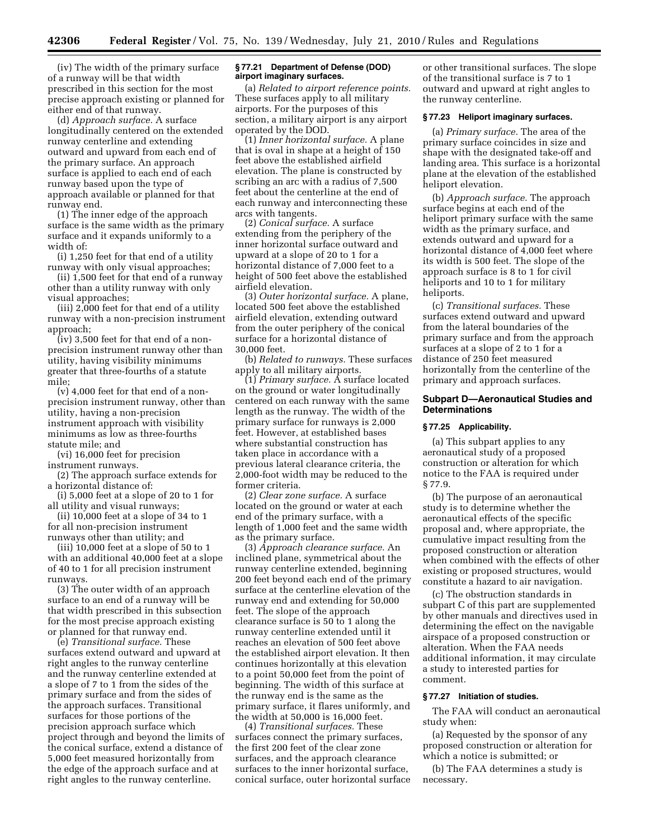(iv) The width of the primary surface of a runway will be that width prescribed in this section for the most precise approach existing or planned for either end of that runway.

(d) *Approach surface.* A surface longitudinally centered on the extended runway centerline and extending outward and upward from each end of the primary surface. An approach surface is applied to each end of each runway based upon the type of approach available or planned for that runway end.

(1) The inner edge of the approach surface is the same width as the primary surface and it expands uniformly to a width of:

(i) 1,250 feet for that end of a utility runway with only visual approaches;

(ii) 1,500 feet for that end of a runway other than a utility runway with only visual approaches;

(iii) 2,000 feet for that end of a utility runway with a non-precision instrument approach;

(iv) 3,500 feet for that end of a nonprecision instrument runway other than utility, having visibility minimums greater that three-fourths of a statute mile;

(v) 4,000 feet for that end of a nonprecision instrument runway, other than utility, having a non-precision instrument approach with visibility minimums as low as three-fourths statute mile; and

(vi) 16,000 feet for precision instrument runways.

(2) The approach surface extends for a horizontal distance of:

(i) 5,000 feet at a slope of 20 to 1 for all utility and visual runways;

(ii) 10,000 feet at a slope of 34 to 1 for all non-precision instrument runways other than utility; and

(iii) 10,000 feet at a slope of 50 to 1 with an additional 40,000 feet at a slope of 40 to 1 for all precision instrument runways.

(3) The outer width of an approach surface to an end of a runway will be that width prescribed in this subsection for the most precise approach existing or planned for that runway end.

(e) *Transitional surface.* These surfaces extend outward and upward at right angles to the runway centerline and the runway centerline extended at a slope of 7 to 1 from the sides of the primary surface and from the sides of the approach surfaces. Transitional surfaces for those portions of the precision approach surface which project through and beyond the limits of the conical surface, extend a distance of 5,000 feet measured horizontally from the edge of the approach surface and at right angles to the runway centerline.

## **§ 77.21 Department of Defense (DOD) airport imaginary surfaces.**

(a) *Related to airport reference points.*  These surfaces apply to all military airports. For the purposes of this section, a military airport is any airport operated by the DOD.

(1) *Inner horizontal surface.* A plane that is oval in shape at a height of 150 feet above the established airfield elevation. The plane is constructed by scribing an arc with a radius of 7,500 feet about the centerline at the end of each runway and interconnecting these arcs with tangents.

(2) *Conical surface.* A surface extending from the periphery of the inner horizontal surface outward and upward at a slope of 20 to 1 for a horizontal distance of 7,000 feet to a height of 500 feet above the established airfield elevation.

(3) *Outer horizontal surface.* A plane, located 500 feet above the established airfield elevation, extending outward from the outer periphery of the conical surface for a horizontal distance of 30,000 feet.

(b) *Related to runways.* These surfaces apply to all military airports.

(1) *Primary surface.* A surface located on the ground or water longitudinally centered on each runway with the same length as the runway. The width of the primary surface for runways is 2,000 feet. However, at established bases where substantial construction has taken place in accordance with a previous lateral clearance criteria, the 2,000-foot width may be reduced to the former criteria.

(2) *Clear zone surface.* A surface located on the ground or water at each end of the primary surface, with a length of 1,000 feet and the same width as the primary surface.

(3) *Approach clearance surface.* An inclined plane, symmetrical about the runway centerline extended, beginning 200 feet beyond each end of the primary surface at the centerline elevation of the runway end and extending for 50,000 feet. The slope of the approach clearance surface is 50 to 1 along the runway centerline extended until it reaches an elevation of 500 feet above the established airport elevation. It then continues horizontally at this elevation to a point 50,000 feet from the point of beginning. The width of this surface at the runway end is the same as the primary surface, it flares uniformly, and the width at 50,000 is 16,000 feet.

(4) *Transitional surfaces.* These surfaces connect the primary surfaces, the first 200 feet of the clear zone surfaces, and the approach clearance surfaces to the inner horizontal surface, conical surface, outer horizontal surface or other transitional surfaces. The slope of the transitional surface is 7 to 1 outward and upward at right angles to the runway centerline.

## **§ 77.23 Heliport imaginary surfaces.**

(a) *Primary surface.* The area of the primary surface coincides in size and shape with the designated take-off and landing area. This surface is a horizontal plane at the elevation of the established heliport elevation.

(b) *Approach surface.* The approach surface begins at each end of the heliport primary surface with the same width as the primary surface, and extends outward and upward for a horizontal distance of 4,000 feet where its width is 500 feet. The slope of the approach surface is 8 to 1 for civil heliports and 10 to 1 for military heliports.

(c) *Transitional surfaces.* These surfaces extend outward and upward from the lateral boundaries of the primary surface and from the approach surfaces at a slope of 2 to 1 for a distance of 250 feet measured horizontally from the centerline of the primary and approach surfaces.

## **Subpart D—Aeronautical Studies and Determinations**

#### **§ 77.25 Applicability.**

(a) This subpart applies to any aeronautical study of a proposed construction or alteration for which notice to the FAA is required under § 77.9.

(b) The purpose of an aeronautical study is to determine whether the aeronautical effects of the specific proposal and, where appropriate, the cumulative impact resulting from the proposed construction or alteration when combined with the effects of other existing or proposed structures, would constitute a hazard to air navigation.

(c) The obstruction standards in subpart C of this part are supplemented by other manuals and directives used in determining the effect on the navigable airspace of a proposed construction or alteration. When the FAA needs additional information, it may circulate a study to interested parties for comment.

### **§ 77.27 Initiation of studies.**

The FAA will conduct an aeronautical study when:

(a) Requested by the sponsor of any proposed construction or alteration for which a notice is submitted; or

(b) The FAA determines a study is necessary.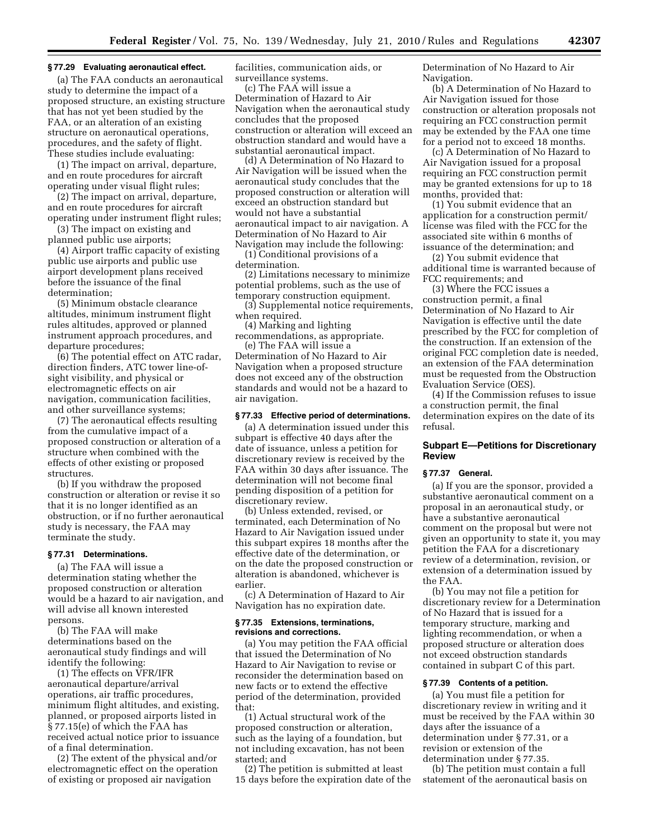## **§ 77.29 Evaluating aeronautical effect.**

(a) The FAA conducts an aeronautical study to determine the impact of a proposed structure, an existing structure that has not yet been studied by the FAA, or an alteration of an existing structure on aeronautical operations, procedures, and the safety of flight. These studies include evaluating:

(1) The impact on arrival, departure, and en route procedures for aircraft operating under visual flight rules;

(2) The impact on arrival, departure, and en route procedures for aircraft operating under instrument flight rules;

(3) The impact on existing and planned public use airports;

(4) Airport traffic capacity of existing public use airports and public use airport development plans received before the issuance of the final determination;

(5) Minimum obstacle clearance altitudes, minimum instrument flight rules altitudes, approved or planned instrument approach procedures, and departure procedures;

(6) The potential effect on ATC radar, direction finders, ATC tower line-ofsight visibility, and physical or electromagnetic effects on air navigation, communication facilities, and other surveillance systems;

(7) The aeronautical effects resulting from the cumulative impact of a proposed construction or alteration of a structure when combined with the effects of other existing or proposed structures.

(b) If you withdraw the proposed construction or alteration or revise it so that it is no longer identified as an obstruction, or if no further aeronautical study is necessary, the FAA may terminate the study.

# **§ 77.31 Determinations.**

(a) The FAA will issue a determination stating whether the proposed construction or alteration would be a hazard to air navigation, and will advise all known interested persons.

(b) The FAA will make determinations based on the aeronautical study findings and will identify the following:

(1) The effects on VFR/IFR aeronautical departure/arrival operations, air traffic procedures, minimum flight altitudes, and existing, planned, or proposed airports listed in § 77.15(e) of which the FAA has received actual notice prior to issuance of a final determination.

(2) The extent of the physical and/or electromagnetic effect on the operation of existing or proposed air navigation

facilities, communication aids, or surveillance systems.

(c) The FAA will issue a Determination of Hazard to Air Navigation when the aeronautical study concludes that the proposed construction or alteration will exceed an obstruction standard and would have a substantial aeronautical impact.

(d) A Determination of No Hazard to Air Navigation will be issued when the aeronautical study concludes that the proposed construction or alteration will exceed an obstruction standard but would not have a substantial aeronautical impact to air navigation. A Determination of No Hazard to Air Navigation may include the following:

(1) Conditional provisions of a determination.

(2) Limitations necessary to minimize potential problems, such as the use of temporary construction equipment.

(3) Supplemental notice requirements, when required.

(4) Marking and lighting

recommendations, as appropriate. (e) The FAA will issue a

Determination of No Hazard to Air Navigation when a proposed structure does not exceed any of the obstruction standards and would not be a hazard to air navigation.

### **§ 77.33 Effective period of determinations.**

(a) A determination issued under this subpart is effective 40 days after the date of issuance, unless a petition for discretionary review is received by the FAA within 30 days after issuance. The determination will not become final pending disposition of a petition for discretionary review.

(b) Unless extended, revised, or terminated, each Determination of No Hazard to Air Navigation issued under this subpart expires 18 months after the effective date of the determination, or on the date the proposed construction or alteration is abandoned, whichever is earlier.

(c) A Determination of Hazard to Air Navigation has no expiration date.

## **§ 77.35 Extensions, terminations, revisions and corrections.**

(a) You may petition the FAA official that issued the Determination of No Hazard to Air Navigation to revise or reconsider the determination based on new facts or to extend the effective period of the determination, provided that:

(1) Actual structural work of the proposed construction or alteration, such as the laying of a foundation, but not including excavation, has not been started; and

(2) The petition is submitted at least 15 days before the expiration date of the Determination of No Hazard to Air Navigation.

(b) A Determination of No Hazard to Air Navigation issued for those construction or alteration proposals not requiring an FCC construction permit may be extended by the FAA one time for a period not to exceed 18 months.

(c) A Determination of No Hazard to Air Navigation issued for a proposal requiring an FCC construction permit may be granted extensions for up to 18 months, provided that:

(1) You submit evidence that an application for a construction permit/ license was filed with the FCC for the associated site within 6 months of issuance of the determination; and

(2) You submit evidence that additional time is warranted because of FCC requirements; and

(3) Where the FCC issues a construction permit, a final Determination of No Hazard to Air Navigation is effective until the date prescribed by the FCC for completion of the construction. If an extension of the original FCC completion date is needed, an extension of the FAA determination must be requested from the Obstruction Evaluation Service (OES).

(4) If the Commission refuses to issue a construction permit, the final determination expires on the date of its refusal.

## **Subpart E—Petitions for Discretionary Review**

## **§ 77.37 General.**

(a) If you are the sponsor, provided a substantive aeronautical comment on a proposal in an aeronautical study, or have a substantive aeronautical comment on the proposal but were not given an opportunity to state it, you may petition the FAA for a discretionary review of a determination, revision, or extension of a determination issued by the FAA.

(b) You may not file a petition for discretionary review for a Determination of No Hazard that is issued for a temporary structure, marking and lighting recommendation, or when a proposed structure or alteration does not exceed obstruction standards contained in subpart C of this part.

### **§ 77.39 Contents of a petition.**

(a) You must file a petition for discretionary review in writing and it must be received by the FAA within 30 days after the issuance of a determination under § 77.31, or a revision or extension of the determination under § 77.35.

(b) The petition must contain a full statement of the aeronautical basis on